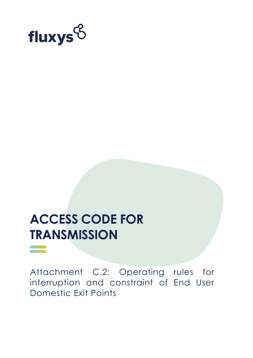

# **ACCESS CODE FOR TRANSMISSION**

Attachment C.2: Operating rules for interruption and constraint of End User Domestic Exit Points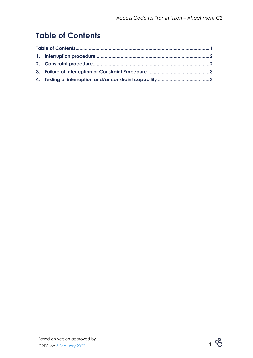# <span id="page-1-0"></span>**Table of Contents**

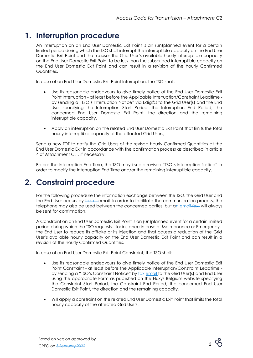## <span id="page-2-0"></span>**1. Interruption procedure**

An Interruption on an End User Domestic Exit Point is an (un)planned event for a certain limited period during which the TSO shall interrupt the interruptible capacity on the End User Domestic Exit Point and that causes the Grid User's available hourly interruptible capacity on the End User Domestic Exit Point to be less than the subscribed interruptible capacity on the End User Domestic Exit Point and can result in a revision of the hourly Confirmed Quantities.

In case of an End User Domestic Exit Point Interruption, the TSO shall:

- Use its reasonable endeavours to give timely notice of the End User Domestic Exit Point Interruption - at least before the Applicable Interruption/Constraint Leadtime by sending a "TSO's Interruption Notice" via Edig@s to the Grid User(s) and the End User specifying the Interruption Start Period, the Interruption End Period, the concerned End User Domestic Exit Point, the direction and the remaining interruptible capacity,
- Apply an interruption on the related End User Domestic Exit Point that limits the total hourly interruptible capacity of the affected Grid Users,

Send a new TDT to notify the Grid Users of the revised hourly Confirmed Quantities at the End User Domestic Exit in accordance with the confirmation process as described in article 4 of Attachment C.1, if necessary.

Before the Interruption End Time, the TSO may issue a revised "TSO's Interruption Notice" in order to modify the Interruption End Time and/or the remaining interruptible capacity.

### <span id="page-2-1"></span>**2. Constraint procedure**

For the following procedure the information exchange between the TSO, the Grid User and the End User occurs by fax or email. In order to facilitate the communication process, the telephone may also be used between the concerned parties, but an email-fax-will always be sent for confirmation.

A Constraint on an End User Domestic Exit Point is an (un)planned event for a certain limited period during which the TSO requests - for instance in case of Maintenance or Emergency the End User to reduce its offtake or its Injection and that causes a reduction of the Grid User's available hourly capacity on the End User Domestic Exit Point and can result in a revision of the hourly Confirmed Quantities.

In case of an End User Domestic Exit Point Constraint, the TSO shall:

- Use its reasonable endeavours to give timely notice of the End User Domestic Exit Point Constraint - at least before the Applicable Interruption/Constraint Leadtime by sending a "TSO's Constraint Notice" by fax-email to the Grid User(s) and End User using the appropriate Form as published on the Fluxys Belgium website specifying the Constraint Start Period, the Constraint End Period, the concerned End User Domestic Exit Point, the direction and the remaining capacity,
- Will apply a constraint on the related End User Domestic Exit Point that limits the total hourly capacity of the affected Grid Users,